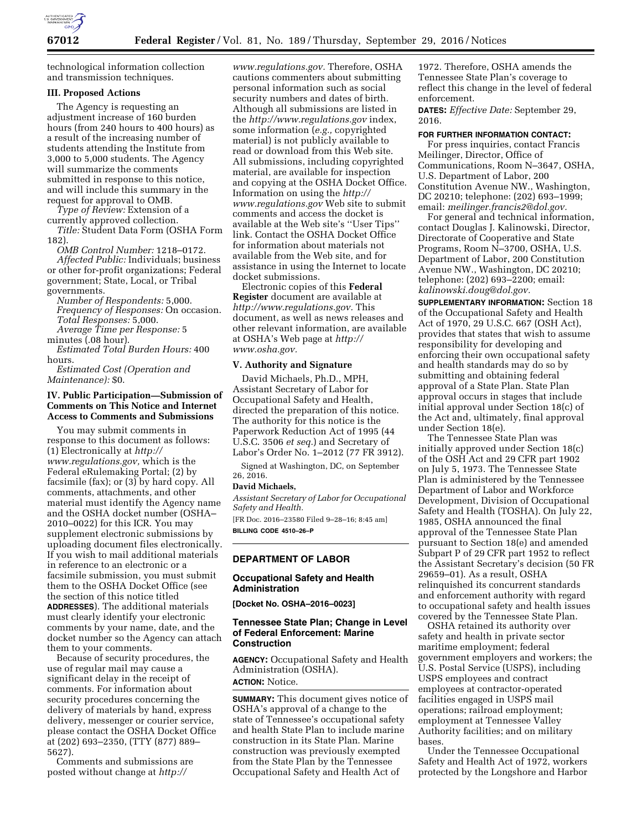

technological information collection and transmission techniques.

## **III. Proposed Actions**

The Agency is requesting an adjustment increase of 160 burden hours (from 240 hours to 400 hours) as a result of the increasing number of students attending the Institute from 3,000 to 5,000 students. The Agency will summarize the comments submitted in response to this notice, and will include this summary in the request for approval to OMB.

*Type of Review:* Extension of a currently approved collection.

*Title:* Student Data Form (OSHA Form 182).

*OMB Control Number:* 1218–0172. *Affected Public:* Individuals; business

or other for-profit organizations; Federal government; State, Local, or Tribal governments. *Number of Respondents:* 5,000.

*Frequency of Responses:* On occasion. *Total Responses:* 5,000. *Average Time per Response:* 5

minutes (.08 hour).

*Estimated Total Burden Hours:* 400 hours.

*Estimated Cost (Operation and Maintenance):* \$0.

## **IV. Public Participation—Submission of Comments on This Notice and Internet Access to Comments and Submissions**

You may submit comments in response to this document as follows: (1) Electronically at *[http://](http://www.regulations.gov) [www.regulations.gov,](http://www.regulations.gov)* which is the Federal eRulemaking Portal; (2) by facsimile (fax); or (3) by hard copy. All comments, attachments, and other material must identify the Agency name and the OSHA docket number (OSHA– 2010–0022) for this ICR. You may supplement electronic submissions by uploading document files electronically. If you wish to mail additional materials in reference to an electronic or a facsimile submission, you must submit them to the OSHA Docket Office (see the section of this notice titled **ADDRESSES**). The additional materials must clearly identify your electronic comments by your name, date, and the docket number so the Agency can attach them to your comments.

Because of security procedures, the use of regular mail may cause a significant delay in the receipt of comments. For information about security procedures concerning the delivery of materials by hand, express delivery, messenger or courier service, please contact the OSHA Docket Office at (202) 693–2350, (TTY (877) 889– 5627).

Comments and submissions are posted without change at *[http://](http://www.regulations.gov)*

*[www.regulations.gov.](http://www.regulations.gov)* Therefore, OSHA cautions commenters about submitting personal information such as social security numbers and dates of birth. Although all submissions are listed in the *<http://www.regulations.gov>*index, some information (*e.g.,* copyrighted material) is not publicly available to read or download from this Web site. All submissions, including copyrighted material, are available for inspection and copying at the OSHA Docket Office. Information on using the *[http://](http://www.regulations.gov) [www.regulations.gov](http://www.regulations.gov)* Web site to submit comments and access the docket is available at the Web site's ''User Tips'' link. Contact the OSHA Docket Office for information about materials not available from the Web site, and for assistance in using the Internet to locate docket submissions.

Electronic copies of this **Federal Register** document are available at *[http://www.regulations.gov.](http://www.regulations.gov)* This document, as well as news releases and other relevant information, are available at OSHA's Web page at *[http://](http://www.osha.gov) [www.osha.gov.](http://www.osha.gov)* 

## **V. Authority and Signature**

David Michaels, Ph.D., MPH, Assistant Secretary of Labor for Occupational Safety and Health, directed the preparation of this notice. The authority for this notice is the Paperwork Reduction Act of 1995 (44 U.S.C. 3506 *et seq.*) and Secretary of Labor's Order No. 1–2012 (77 FR 3912).

Signed at Washington, DC, on September 26, 2016.

#### **David Michaels,**

*Assistant Secretary of Labor for Occupational Safety and Health.* 

[FR Doc. 2016–23580 Filed 9–28–16; 8:45 am] **BILLING CODE 4510–26–P** 

## **DEPARTMENT OF LABOR**

## **Occupational Safety and Health Administration**

**[Docket No. OSHA–2016–0023]** 

## **Tennessee State Plan; Change in Level of Federal Enforcement: Marine Construction**

**AGENCY:** Occupational Safety and Health Administration (OSHA). **ACTION:** Notice.

**SUMMARY:** This document gives notice of OSHA's approval of a change to the state of Tennessee's occupational safety and health State Plan to include marine construction in its State Plan. Marine construction was previously exempted from the State Plan by the Tennessee Occupational Safety and Health Act of

1972. Therefore, OSHA amends the Tennessee State Plan's coverage to reflect this change in the level of federal enforcement.

**DATES:** *Effective Date:* September 29, 2016.

### **FOR FURTHER INFORMATION CONTACT:**

For press inquiries, contact Francis Meilinger, Director, Office of Communications, Room N–3647, OSHA, U.S. Department of Labor, 200 Constitution Avenue NW., Washington, DC 20210; telephone: (202) 693–1999; email: *[meilinger.francis2@dol.gov.](mailto:meilinger.francis2@dol.gov)* 

For general and technical information, contact Douglas J. Kalinowski, Director, Directorate of Cooperative and State Programs, Room N–3700, OSHA, U.S. Department of Labor, 200 Constitution Avenue NW., Washington, DC 20210; telephone: (202) 693–2200; email: *[kalinowski.doug@dol.gov.](mailto:kalinowski.doug@dol.gov)* 

**SUPPLEMENTARY INFORMATION:** Section 18 of the Occupational Safety and Health Act of 1970, 29 U.S.C. 667 (OSH Act), provides that states that wish to assume responsibility for developing and enforcing their own occupational safety and health standards may do so by submitting and obtaining federal approval of a State Plan. State Plan approval occurs in stages that include initial approval under Section 18(c) of the Act and, ultimately, final approval under Section 18(e).

The Tennessee State Plan was initially approved under Section 18(c) of the OSH Act and 29 CFR part 1902 on July 5, 1973. The Tennessee State Plan is administered by the Tennessee Department of Labor and Workforce Development, Division of Occupational Safety and Health (TOSHA). On July 22, 1985, OSHA announced the final approval of the Tennessee State Plan pursuant to Section 18(e) and amended Subpart P of 29 CFR part 1952 to reflect the Assistant Secretary's decision (50 FR 29659–01). As a result, OSHA relinquished its concurrent standards and enforcement authority with regard to occupational safety and health issues covered by the Tennessee State Plan.

OSHA retained its authority over safety and health in private sector maritime employment; federal government employers and workers; the U.S. Postal Service (USPS), including USPS employees and contract employees at contractor-operated facilities engaged in USPS mail operations; railroad employment; employment at Tennessee Valley Authority facilities; and on military bases.

Under the Tennessee Occupational Safety and Health Act of 1972, workers protected by the Longshore and Harbor